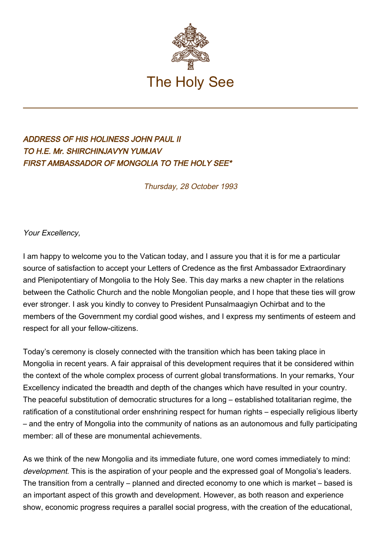

## ADDRESS OF HIS HOLINESS JOHN PAUL II TO H.E. Mr. SHIRCHINJAVYN YUMJAV FIRST AMBASSADOR OF MONGOLIA TO THE HOLY SEE\*

Thursday, 28 October 1993

Your Excellency,

I am happy to welcome you to the Vatican today, and I assure you that it is for me a particular source of satisfaction to accept your Letters of Credence as the first Ambassador Extraordinary and Plenipotentiary of Mongolia to the Holy See. This day marks a new chapter in the relations between the Catholic Church and the noble Mongolian people, and I hope that these ties will grow ever stronger. I ask you kindly to convey to President Punsalmaagiyn Ochirbat and to the members of the Government my cordial good wishes, and I express my sentiments of esteem and respect for all your fellow-citizens.

Today's ceremony is closely connected with the transition which has been taking place in Mongolia in recent years. A fair appraisal of this development requires that it be considered within the context of the whole complex process of current global transformations. In your remarks, Your Excellency indicated the breadth and depth of the changes which have resulted in your country. The peaceful substitution of democratic structures for a long – established totalitarian regime, the ratification of a constitutional order enshrining respect for human rights – especially religious liberty – and the entry of Mongolia into the community of nations as an autonomous and fully participating member: all of these are monumental achievements.

As we think of the new Mongolia and its immediate future, one word comes immediately to mind: development. This is the aspiration of your people and the expressed goal of Mongolia's leaders. The transition from a centrally – planned and directed economy to one which is market – based is an important aspect of this growth and development. However, as both reason and experience show, economic progress requires a parallel social progress, with the creation of the educational,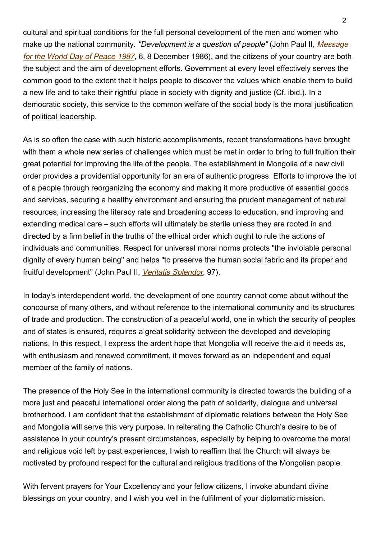cultural and spiritual conditions for the full personal development of the men and women who make up the national community. "Development is a question of people" (John Paul II, [Message](http://www.vatican.va/holy_father/john_paul_ii/messages/peace/documents/hf_jp-ii_mes_19861208_xx-world-day-for-peace_en.html) [for the World Day of Peace 1987](http://www.vatican.va/holy_father/john_paul_ii/messages/peace/documents/hf_jp-ii_mes_19861208_xx-world-day-for-peace_en.html), 6, 8 December 1986), and the citizens of your country are both the subject and the aim of development efforts. Government at every level effectively serves the common good to the extent that it helps people to discover the values which enable them to build a new life and to take their rightful place in society with dignity and justice (Cf. ibid.). In a democratic society, this service to the common welfare of the social body is the moral justification of political leadership.

As is so often the case with such historic accomplishments, recent transformations have brought with them a whole new series of challenges which must be met in order to bring to full fruition their great potential for improving the life of the people. The establishment in Mongolia of a new civil order provides a providential opportunity for an era of authentic progress. Efforts to improve the lot of a people through reorganizing the economy and making it more productive of essential goods and services, securing a healthy environment and ensuring the prudent management of natural resources, increasing the literacy rate and broadening access to education, and improving and extending medical care – such efforts will ultimately be sterile unless they are rooted in and directed by a firm belief in the truths of the ethical order which ought to rule the actions of individuals and communities. Respect for universal moral norms protects "the inviolable personal dignity of every human being" and helps "to preserve the human social fabric and its proper and fruitful development" (John Paul II, [Veritatis Splendor](http://www.vatican.va/edocs/ENG0222/__P9.HTM), 97).

In today's interdependent world, the development of one country cannot come about without the concourse of many others, and without reference to the international community and its structures of trade and production. The construction of a peaceful world, one in which the security of peoples and of states is ensured, requires a great solidarity between the developed and developing nations. In this respect, I express the ardent hope that Mongolia will receive the aid it needs as, with enthusiasm and renewed commitment, it moves forward as an independent and equal member of the family of nations.

The presence of the Holy See in the international community is directed towards the building of a more just and peaceful international order along the path of solidarity, dialogue and universal brotherhood. I am confident that the establishment of diplomatic relations between the Holy See and Mongolia will serve this very purpose. In reiterating the Catholic Church's desire to be of assistance in your country's present circumstances, especially by helping to overcome the moral and religious void left by past experiences, I wish to reaffirm that the Church will always be motivated by profound respect for the cultural and religious traditions of the Mongolian people.

With fervent prayers for Your Excellency and your fellow citizens, I invoke abundant divine blessings on your country, and I wish you well in the fulfilment of your diplomatic mission.